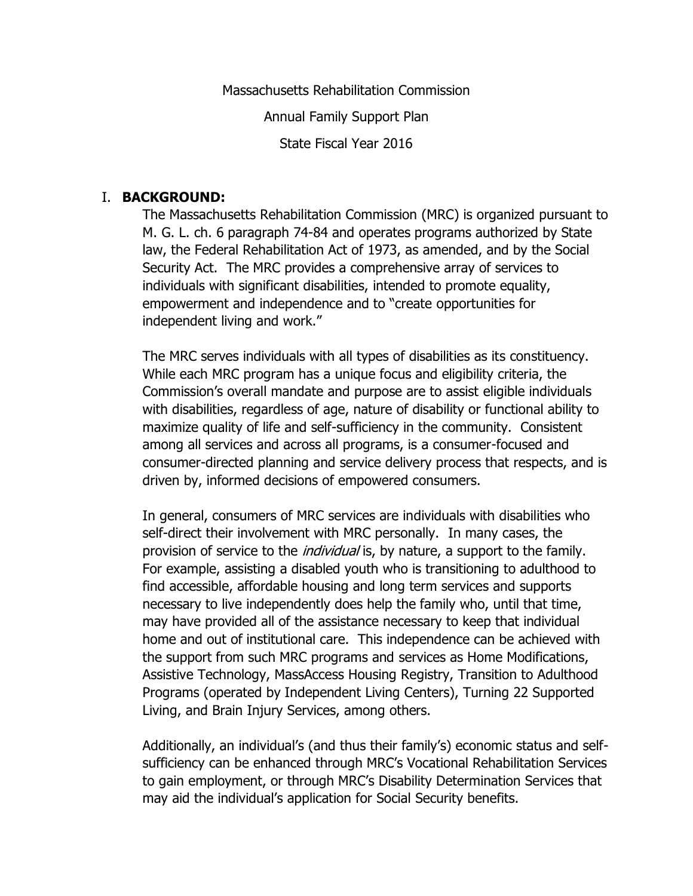Massachusetts Rehabilitation Commission Annual Family Support Plan State Fiscal Year 2016

#### I. **BACKGROUND:**

The Massachusetts Rehabilitation Commission (MRC) is organized pursuant to M. G. L. ch. 6 paragraph 74-84 and operates programs authorized by State law, the Federal Rehabilitation Act of 1973, as amended, and by the Social Security Act. The MRC provides a comprehensive array of services to individuals with significant disabilities, intended to promote equality, empowerment and independence and to "create opportunities for independent living and work."

The MRC serves individuals with all types of disabilities as its constituency. While each MRC program has a unique focus and eligibility criteria, the Commission's overall mandate and purpose are to assist eligible individuals with disabilities, regardless of age, nature of disability or functional ability to maximize quality of life and self-sufficiency in the community. Consistent among all services and across all programs, is a consumer-focused and consumer-directed planning and service delivery process that respects, and is driven by, informed decisions of empowered consumers.

In general, consumers of MRC services are individuals with disabilities who self-direct their involvement with MRC personally. In many cases, the provision of service to the *individual* is, by nature, a support to the family. For example, assisting a disabled youth who is transitioning to adulthood to find accessible, affordable housing and long term services and supports necessary to live independently does help the family who, until that time, may have provided all of the assistance necessary to keep that individual home and out of institutional care. This independence can be achieved with the support from such MRC programs and services as Home Modifications, Assistive Technology, MassAccess Housing Registry, Transition to Adulthood Programs (operated by Independent Living Centers), Turning 22 Supported Living, and Brain Injury Services, among others.

Additionally, an individual's (and thus their family's) economic status and selfsufficiency can be enhanced through MRC's Vocational Rehabilitation Services to gain employment, or through MRC's Disability Determination Services that may aid the individual's application for Social Security benefits.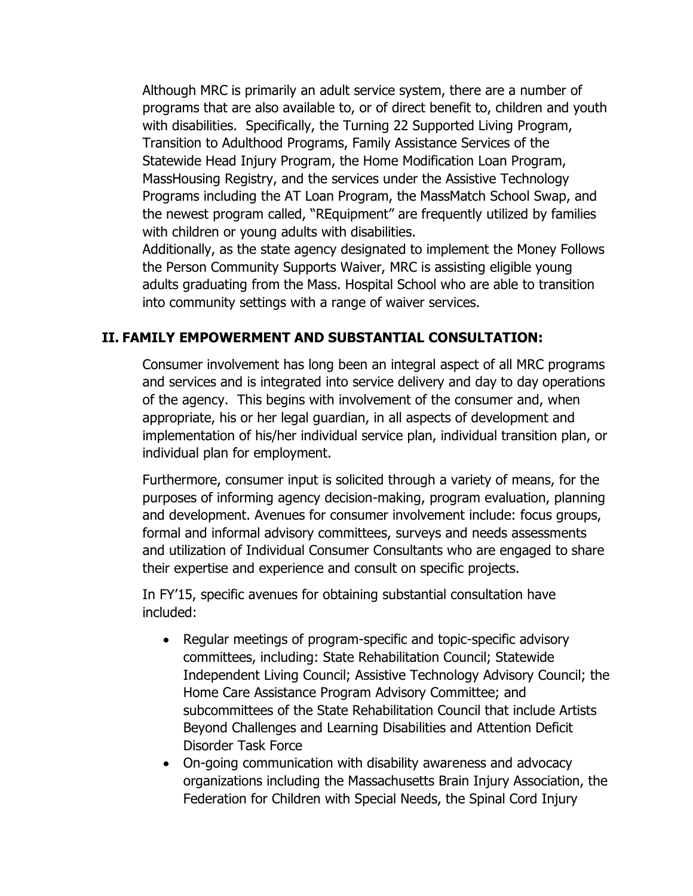Although MRC is primarily an adult service system, there are a number of programs that are also available to, or of direct benefit to, children and youth with disabilities. Specifically, the Turning 22 Supported Living Program, Transition to Adulthood Programs, Family Assistance Services of the Statewide Head Injury Program, the Home Modification Loan Program, MassHousing Registry, and the services under the Assistive Technology Programs including the AT Loan Program, the MassMatch School Swap, and the newest program called, "REquipment" are frequently utilized by families with children or young adults with disabilities.

Additionally, as the state agency designated to implement the Money Follows the Person Community Supports Waiver, MRC is assisting eligible young adults graduating from the Mass. Hospital School who are able to transition into community settings with a range of waiver services.

### **II. FAMILY EMPOWERMENT AND SUBSTANTIAL CONSULTATION:**

Consumer involvement has long been an integral aspect of all MRC programs and services and is integrated into service delivery and day to day operations of the agency. This begins with involvement of the consumer and, when appropriate, his or her legal guardian, in all aspects of development and implementation of his/her individual service plan, individual transition plan, or individual plan for employment.

Furthermore, consumer input is solicited through a variety of means, for the purposes of informing agency decision-making, program evaluation, planning and development. Avenues for consumer involvement include: focus groups, formal and informal advisory committees, surveys and needs assessments and utilization of Individual Consumer Consultants who are engaged to share their expertise and experience and consult on specific projects.

In FY'15, specific avenues for obtaining substantial consultation have included:

- Regular meetings of program-specific and topic-specific advisory committees, including: State Rehabilitation Council; Statewide Independent Living Council; Assistive Technology Advisory Council; the Home Care Assistance Program Advisory Committee; and subcommittees of the State Rehabilitation Council that include Artists Beyond Challenges and Learning Disabilities and Attention Deficit Disorder Task Force
- On-going communication with disability awareness and advocacy organizations including the Massachusetts Brain Injury Association, the Federation for Children with Special Needs, the Spinal Cord Injury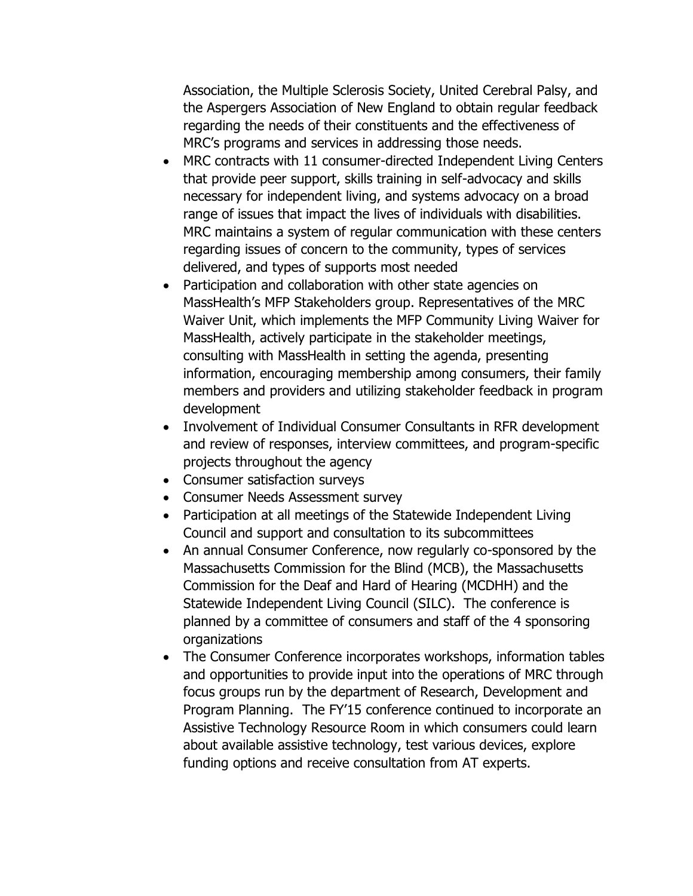Association, the Multiple Sclerosis Society, United Cerebral Palsy, and the Aspergers Association of New England to obtain regular feedback regarding the needs of their constituents and the effectiveness of MRC's programs and services in addressing those needs.

- MRC contracts with 11 consumer-directed Independent Living Centers that provide peer support, skills training in self-advocacy and skills necessary for independent living, and systems advocacy on a broad range of issues that impact the lives of individuals with disabilities. MRC maintains a system of regular communication with these centers regarding issues of concern to the community, types of services delivered, and types of supports most needed
- Participation and collaboration with other state agencies on MassHealth's MFP Stakeholders group. Representatives of the MRC Waiver Unit, which implements the MFP Community Living Waiver for MassHealth, actively participate in the stakeholder meetings, consulting with MassHealth in setting the agenda, presenting information, encouraging membership among consumers, their family members and providers and utilizing stakeholder feedback in program development
- Involvement of Individual Consumer Consultants in RFR development and review of responses, interview committees, and program-specific projects throughout the agency
- Consumer satisfaction surveys
- Consumer Needs Assessment survey
- Participation at all meetings of the Statewide Independent Living Council and support and consultation to its subcommittees
- An annual Consumer Conference, now regularly co-sponsored by the Massachusetts Commission for the Blind (MCB), the Massachusetts Commission for the Deaf and Hard of Hearing (MCDHH) and the Statewide Independent Living Council (SILC). The conference is planned by a committee of consumers and staff of the 4 sponsoring organizations
- The Consumer Conference incorporates workshops, information tables and opportunities to provide input into the operations of MRC through focus groups run by the department of Research, Development and Program Planning. The FY'15 conference continued to incorporate an Assistive Technology Resource Room in which consumers could learn about available assistive technology, test various devices, explore funding options and receive consultation from AT experts.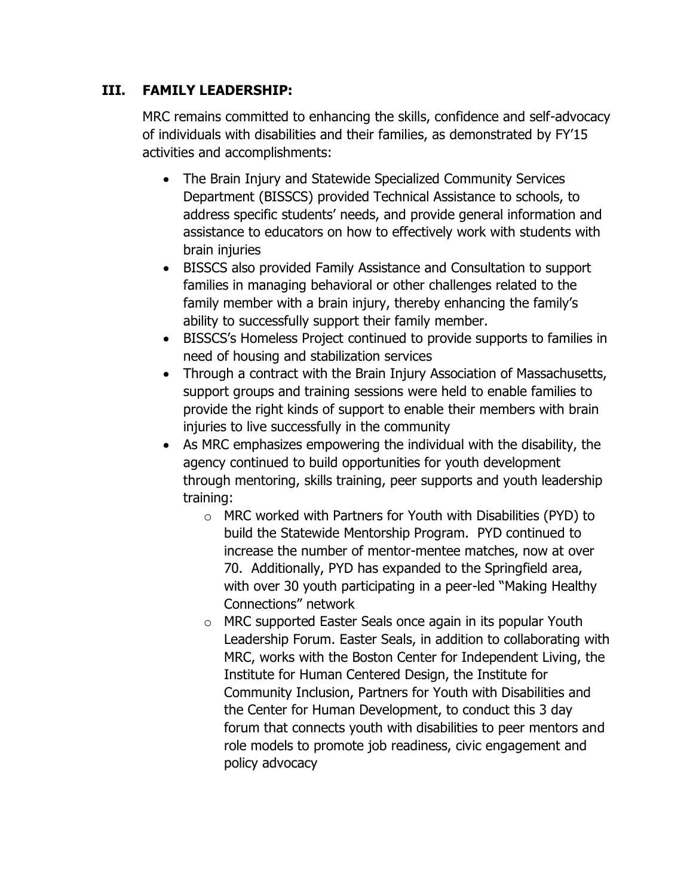# **III. FAMILY LEADERSHIP:**

MRC remains committed to enhancing the skills, confidence and self-advocacy of individuals with disabilities and their families, as demonstrated by FY'15 activities and accomplishments:

- The Brain Injury and Statewide Specialized Community Services Department (BISSCS) provided Technical Assistance to schools, to address specific students' needs, and provide general information and assistance to educators on how to effectively work with students with brain injuries
- BISSCS also provided Family Assistance and Consultation to support families in managing behavioral or other challenges related to the family member with a brain injury, thereby enhancing the family's ability to successfully support their family member.
- BISSCS's Homeless Project continued to provide supports to families in need of housing and stabilization services
- Through a contract with the Brain Injury Association of Massachusetts, support groups and training sessions were held to enable families to provide the right kinds of support to enable their members with brain injuries to live successfully in the community
- As MRC emphasizes empowering the individual with the disability, the agency continued to build opportunities for youth development through mentoring, skills training, peer supports and youth leadership training:
	- o MRC worked with Partners for Youth with Disabilities (PYD) to build the Statewide Mentorship Program. PYD continued to increase the number of mentor-mentee matches, now at over 70. Additionally, PYD has expanded to the Springfield area, with over 30 youth participating in a peer-led "Making Healthy Connections" network
	- o MRC supported Easter Seals once again in its popular Youth Leadership Forum. Easter Seals, in addition to collaborating with MRC, works with the Boston Center for Independent Living, the Institute for Human Centered Design, the Institute for Community Inclusion, Partners for Youth with Disabilities and the Center for Human Development, to conduct this 3 day forum that connects youth with disabilities to peer mentors and role models to promote job readiness, civic engagement and policy advocacy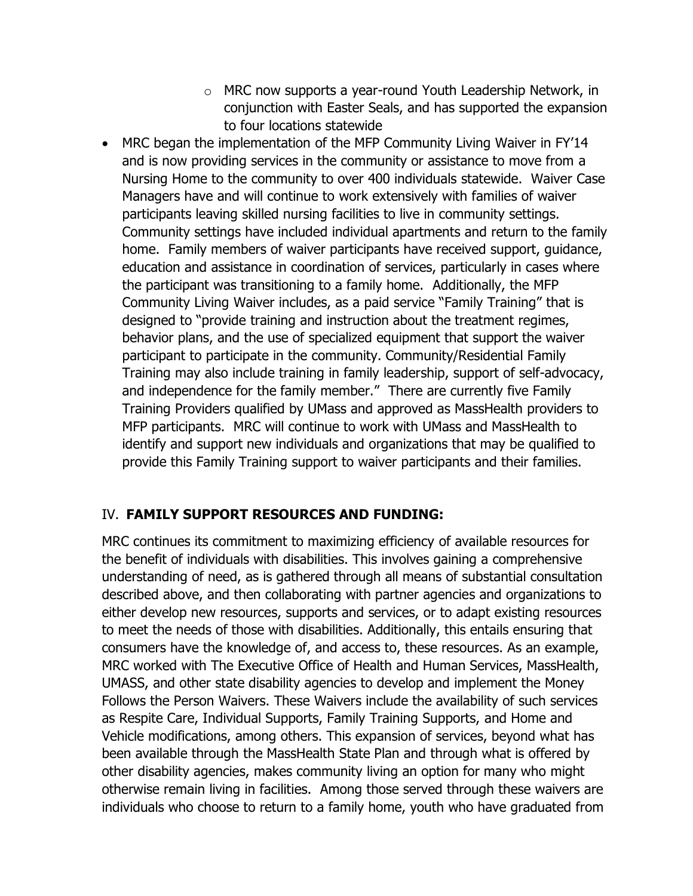- o MRC now supports a year-round Youth Leadership Network, in conjunction with Easter Seals, and has supported the expansion to four locations statewide
- MRC began the implementation of the MFP Community Living Waiver in FY'14 and is now providing services in the community or assistance to move from a Nursing Home to the community to over 400 individuals statewide. Waiver Case Managers have and will continue to work extensively with families of waiver participants leaving skilled nursing facilities to live in community settings. Community settings have included individual apartments and return to the family home. Family members of waiver participants have received support, guidance, education and assistance in coordination of services, particularly in cases where the participant was transitioning to a family home. Additionally, the MFP Community Living Waiver includes, as a paid service "Family Training" that is designed to "provide training and instruction about the treatment regimes, behavior plans, and the use of specialized equipment that support the waiver participant to participate in the community. Community/Residential Family Training may also include training in family leadership, support of self-advocacy, and independence for the family member." There are currently five Family Training Providers qualified by UMass and approved as MassHealth providers to MFP participants. MRC will continue to work with UMass and MassHealth to identify and support new individuals and organizations that may be qualified to provide this Family Training support to waiver participants and their families.

# IV. **FAMILY SUPPORT RESOURCES AND FUNDING:**

MRC continues its commitment to maximizing efficiency of available resources for the benefit of individuals with disabilities. This involves gaining a comprehensive understanding of need, as is gathered through all means of substantial consultation described above, and then collaborating with partner agencies and organizations to either develop new resources, supports and services, or to adapt existing resources to meet the needs of those with disabilities. Additionally, this entails ensuring that consumers have the knowledge of, and access to, these resources. As an example, MRC worked with The Executive Office of Health and Human Services, MassHealth, UMASS, and other state disability agencies to develop and implement the Money Follows the Person Waivers. These Waivers include the availability of such services as Respite Care, Individual Supports, Family Training Supports, and Home and Vehicle modifications, among others. This expansion of services, beyond what has been available through the MassHealth State Plan and through what is offered by other disability agencies, makes community living an option for many who might otherwise remain living in facilities. Among those served through these waivers are individuals who choose to return to a family home, youth who have graduated from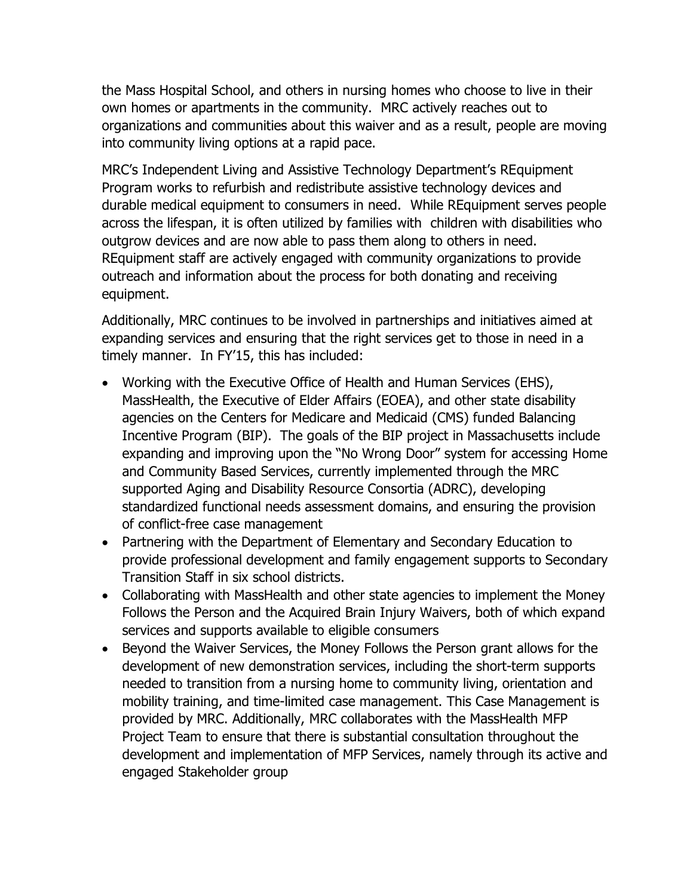the Mass Hospital School, and others in nursing homes who choose to live in their own homes or apartments in the community. MRC actively reaches out to organizations and communities about this waiver and as a result, people are moving into community living options at a rapid pace.

MRC's Independent Living and Assistive Technology Department's REquipment Program works to refurbish and redistribute assistive technology devices and durable medical equipment to consumers in need. While REquipment serves people across the lifespan, it is often utilized by families with children with disabilities who outgrow devices and are now able to pass them along to others in need. REquipment staff are actively engaged with community organizations to provide outreach and information about the process for both donating and receiving equipment.

Additionally, MRC continues to be involved in partnerships and initiatives aimed at expanding services and ensuring that the right services get to those in need in a timely manner. In FY'15, this has included:

- Working with the Executive Office of Health and Human Services (EHS), MassHealth, the Executive of Elder Affairs (EOEA), and other state disability agencies on the Centers for Medicare and Medicaid (CMS) funded Balancing Incentive Program (BIP). The goals of the BIP project in Massachusetts include expanding and improving upon the "No Wrong Door" system for accessing Home and Community Based Services, currently implemented through the MRC supported Aging and Disability Resource Consortia (ADRC), developing standardized functional needs assessment domains, and ensuring the provision of conflict-free case management
- Partnering with the Department of Elementary and Secondary Education to provide professional development and family engagement supports to Secondary Transition Staff in six school districts.
- Collaborating with MassHealth and other state agencies to implement the Money Follows the Person and the Acquired Brain Injury Waivers, both of which expand services and supports available to eligible consumers
- Beyond the Waiver Services, the Money Follows the Person grant allows for the development of new demonstration services, including the short-term supports needed to transition from a nursing home to community living, orientation and mobility training, and time-limited case management. This Case Management is provided by MRC. Additionally, MRC collaborates with the MassHealth MFP Project Team to ensure that there is substantial consultation throughout the development and implementation of MFP Services, namely through its active and engaged Stakeholder group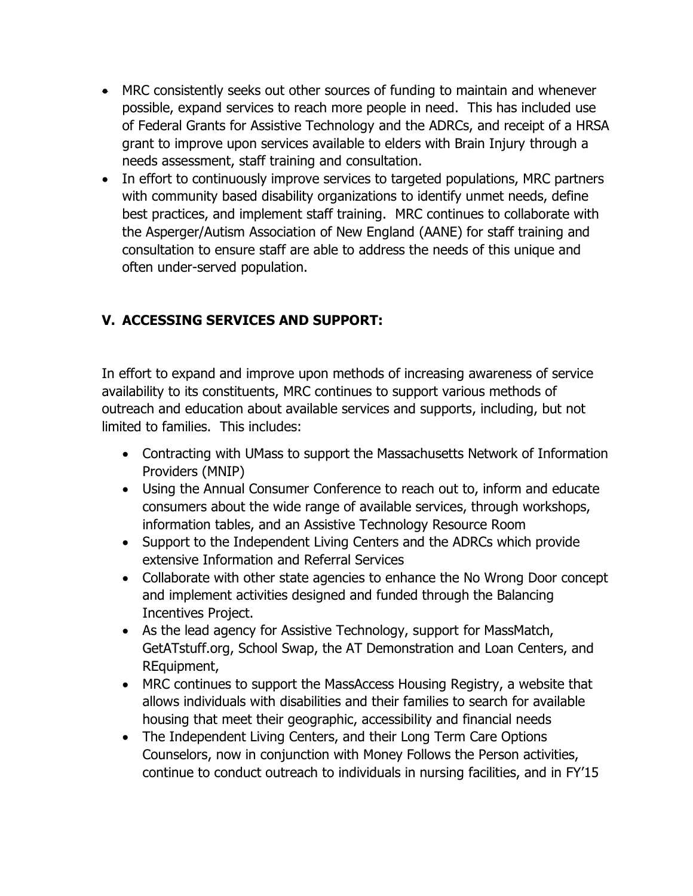- MRC consistently seeks out other sources of funding to maintain and whenever possible, expand services to reach more people in need. This has included use of Federal Grants for Assistive Technology and the ADRCs, and receipt of a HRSA grant to improve upon services available to elders with Brain Injury through a needs assessment, staff training and consultation.
- In effort to continuously improve services to targeted populations, MRC partners with community based disability organizations to identify unmet needs, define best practices, and implement staff training. MRC continues to collaborate with the Asperger/Autism Association of New England (AANE) for staff training and consultation to ensure staff are able to address the needs of this unique and often under-served population.

# **V. ACCESSING SERVICES AND SUPPORT:**

In effort to expand and improve upon methods of increasing awareness of service availability to its constituents, MRC continues to support various methods of outreach and education about available services and supports, including, but not limited to families. This includes:

- Contracting with UMass to support the Massachusetts Network of Information Providers (MNIP)
- Using the Annual Consumer Conference to reach out to, inform and educate consumers about the wide range of available services, through workshops, information tables, and an Assistive Technology Resource Room
- Support to the Independent Living Centers and the ADRCs which provide extensive Information and Referral Services
- Collaborate with other state agencies to enhance the No Wrong Door concept and implement activities designed and funded through the Balancing Incentives Project.
- As the lead agency for Assistive Technology, support for MassMatch, GetATstuff.org, School Swap, the AT Demonstration and Loan Centers, and REquipment,
- MRC continues to support the MassAccess Housing Registry, a website that allows individuals with disabilities and their families to search for available housing that meet their geographic, accessibility and financial needs
- The Independent Living Centers, and their Long Term Care Options Counselors, now in conjunction with Money Follows the Person activities, continue to conduct outreach to individuals in nursing facilities, and in FY'15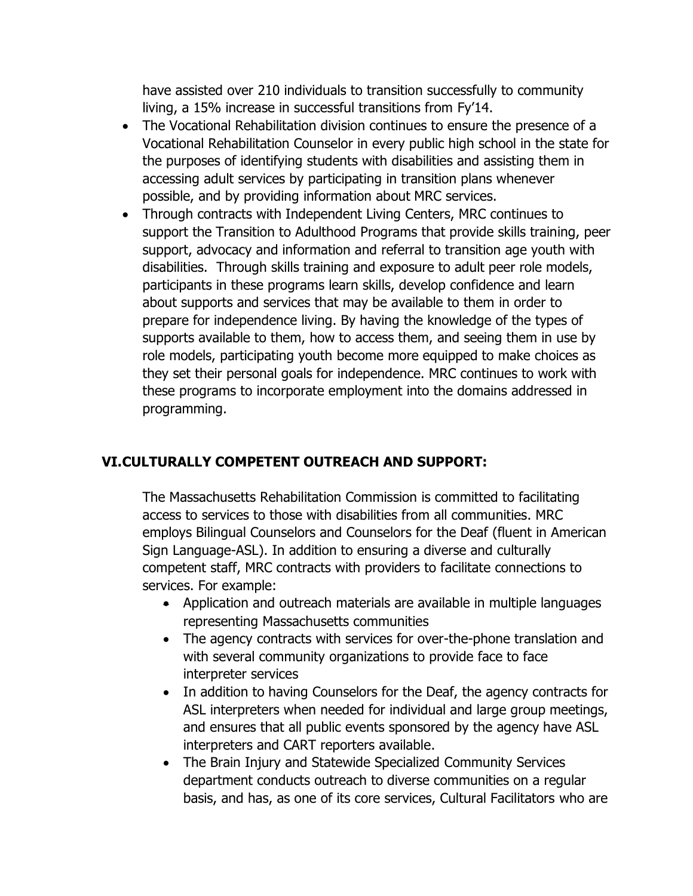have assisted over 210 individuals to transition successfully to community living, a 15% increase in successful transitions from Fy'14.

- The Vocational Rehabilitation division continues to ensure the presence of a Vocational Rehabilitation Counselor in every public high school in the state for the purposes of identifying students with disabilities and assisting them in accessing adult services by participating in transition plans whenever possible, and by providing information about MRC services.
- Through contracts with Independent Living Centers, MRC continues to support the Transition to Adulthood Programs that provide skills training, peer support, advocacy and information and referral to transition age youth with disabilities. Through skills training and exposure to adult peer role models, participants in these programs learn skills, develop confidence and learn about supports and services that may be available to them in order to prepare for independence living. By having the knowledge of the types of supports available to them, how to access them, and seeing them in use by role models, participating youth become more equipped to make choices as they set their personal goals for independence. MRC continues to work with these programs to incorporate employment into the domains addressed in programming.

# **VI.CULTURALLY COMPETENT OUTREACH AND SUPPORT:**

The Massachusetts Rehabilitation Commission is committed to facilitating access to services to those with disabilities from all communities. MRC employs Bilingual Counselors and Counselors for the Deaf (fluent in American Sign Language-ASL). In addition to ensuring a diverse and culturally competent staff, MRC contracts with providers to facilitate connections to services. For example:

- Application and outreach materials are available in multiple languages representing Massachusetts communities
- The agency contracts with services for over-the-phone translation and with several community organizations to provide face to face interpreter services
- In addition to having Counselors for the Deaf, the agency contracts for ASL interpreters when needed for individual and large group meetings, and ensures that all public events sponsored by the agency have ASL interpreters and CART reporters available.
- The Brain Injury and Statewide Specialized Community Services department conducts outreach to diverse communities on a regular basis, and has, as one of its core services, Cultural Facilitators who are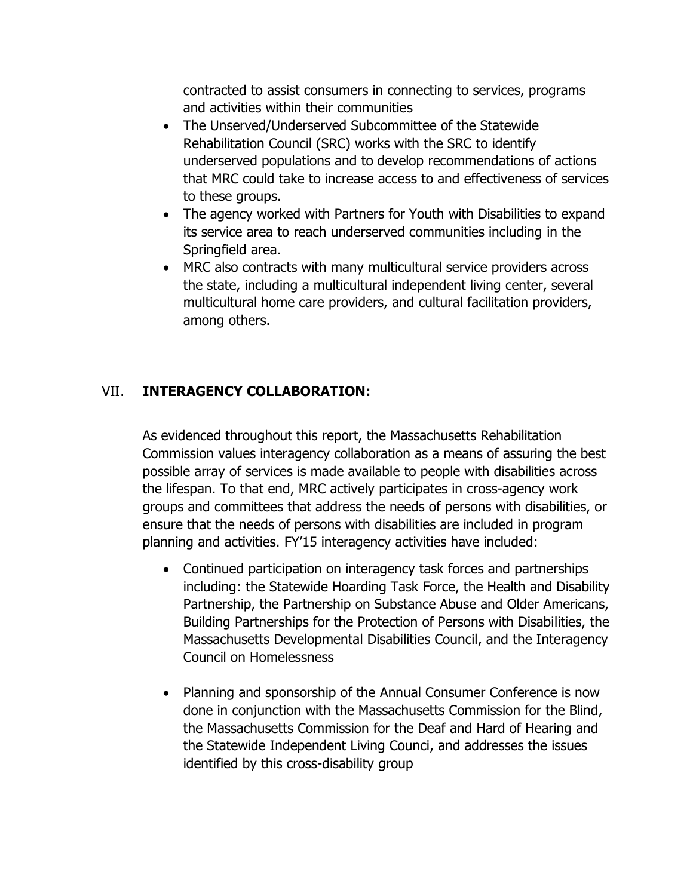contracted to assist consumers in connecting to services, programs and activities within their communities

- The Unserved/Underserved Subcommittee of the Statewide Rehabilitation Council (SRC) works with the SRC to identify underserved populations and to develop recommendations of actions that MRC could take to increase access to and effectiveness of services to these groups.
- The agency worked with Partners for Youth with Disabilities to expand its service area to reach underserved communities including in the Springfield area.
- MRC also contracts with many multicultural service providers across the state, including a multicultural independent living center, several multicultural home care providers, and cultural facilitation providers, among others.

#### VII. **INTERAGENCY COLLABORATION:**

As evidenced throughout this report, the Massachusetts Rehabilitation Commission values interagency collaboration as a means of assuring the best possible array of services is made available to people with disabilities across the lifespan. To that end, MRC actively participates in cross-agency work groups and committees that address the needs of persons with disabilities, or ensure that the needs of persons with disabilities are included in program planning and activities. FY'15 interagency activities have included:

- Continued participation on interagency task forces and partnerships including: the Statewide Hoarding Task Force, the Health and Disability Partnership, the Partnership on Substance Abuse and Older Americans, Building Partnerships for the Protection of Persons with Disabilities, the Massachusetts Developmental Disabilities Council, and the Interagency Council on Homelessness
- Planning and sponsorship of the Annual Consumer Conference is now done in conjunction with the Massachusetts Commission for the Blind, the Massachusetts Commission for the Deaf and Hard of Hearing and the Statewide Independent Living Counci, and addresses the issues identified by this cross-disability group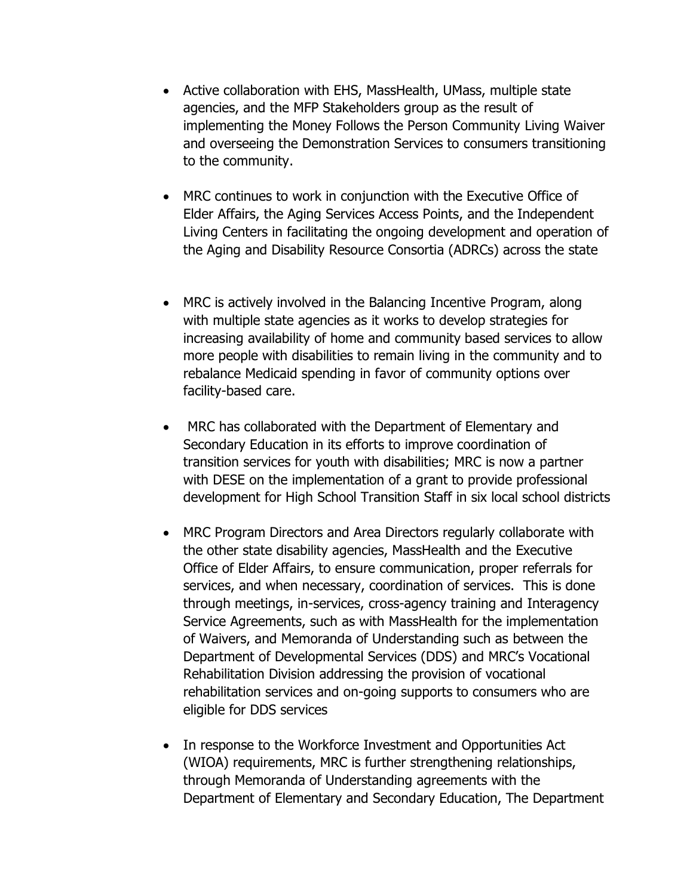- Active collaboration with EHS, MassHealth, UMass, multiple state agencies, and the MFP Stakeholders group as the result of implementing the Money Follows the Person Community Living Waiver and overseeing the Demonstration Services to consumers transitioning to the community.
- MRC continues to work in conjunction with the Executive Office of Elder Affairs, the Aging Services Access Points, and the Independent Living Centers in facilitating the ongoing development and operation of the Aging and Disability Resource Consortia (ADRCs) across the state
- MRC is actively involved in the Balancing Incentive Program, along with multiple state agencies as it works to develop strategies for increasing availability of home and community based services to allow more people with disabilities to remain living in the community and to rebalance Medicaid spending in favor of community options over facility-based care.
- MRC has collaborated with the Department of Elementary and Secondary Education in its efforts to improve coordination of transition services for youth with disabilities; MRC is now a partner with DESE on the implementation of a grant to provide professional development for High School Transition Staff in six local school districts
- MRC Program Directors and Area Directors regularly collaborate with the other state disability agencies, MassHealth and the Executive Office of Elder Affairs, to ensure communication, proper referrals for services, and when necessary, coordination of services. This is done through meetings, in-services, cross-agency training and Interagency Service Agreements, such as with MassHealth for the implementation of Waivers, and Memoranda of Understanding such as between the Department of Developmental Services (DDS) and MRC's Vocational Rehabilitation Division addressing the provision of vocational rehabilitation services and on-going supports to consumers who are eligible for DDS services
- In response to the Workforce Investment and Opportunities Act (WIOA) requirements, MRC is further strengthening relationships, through Memoranda of Understanding agreements with the Department of Elementary and Secondary Education, The Department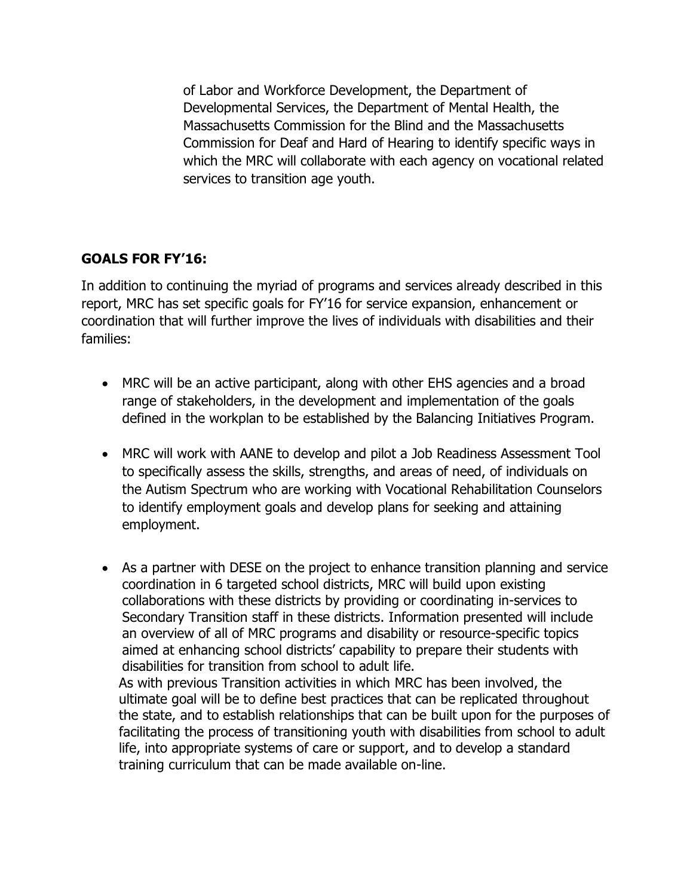of Labor and Workforce Development, the Department of Developmental Services, the Department of Mental Health, the Massachusetts Commission for the Blind and the Massachusetts Commission for Deaf and Hard of Hearing to identify specific ways in which the MRC will collaborate with each agency on vocational related services to transition age youth.

# **GOALS FOR FY'16:**

In addition to continuing the myriad of programs and services already described in this report, MRC has set specific goals for FY'16 for service expansion, enhancement or coordination that will further improve the lives of individuals with disabilities and their families:

- MRC will be an active participant, along with other EHS agencies and a broad range of stakeholders, in the development and implementation of the goals defined in the workplan to be established by the Balancing Initiatives Program.
- MRC will work with AANE to develop and pilot a Job Readiness Assessment Tool to specifically assess the skills, strengths, and areas of need, of individuals on the Autism Spectrum who are working with Vocational Rehabilitation Counselors to identify employment goals and develop plans for seeking and attaining employment.
- As a partner with DESE on the project to enhance transition planning and service coordination in 6 targeted school districts, MRC will build upon existing collaborations with these districts by providing or coordinating in-services to Secondary Transition staff in these districts. Information presented will include an overview of all of MRC programs and disability or resource-specific topics aimed at enhancing school districts' capability to prepare their students with disabilities for transition from school to adult life. As with previous Transition activities in which MRC has been involved, the ultimate goal will be to define best practices that can be replicated throughout the state, and to establish relationships that can be built upon for the purposes of
	- facilitating the process of transitioning youth with disabilities from school to adult life, into appropriate systems of care or support, and to develop a standard training curriculum that can be made available on-line.